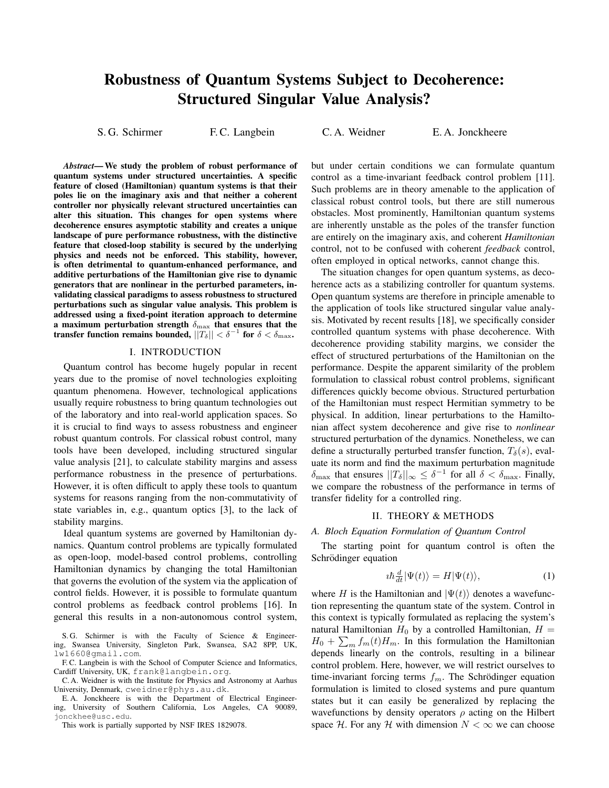# Robustness of Quantum Systems Subject to Decoherence: Structured Singular Value Analysis?

S. G. Schirmer F. C. Langbein C. A. Weidner E. A. Jonckheere

*Abstract*— We study the problem of robust performance of quantum systems under structured uncertainties. A specific feature of closed (Hamiltonian) quantum systems is that their poles lie on the imaginary axis and that neither a coherent controller nor physically relevant structured uncertainties can alter this situation. This changes for open systems where decoherence ensures asymptotic stability and creates a unique landscape of pure performance robustness, with the distinctive feature that closed-loop stability is secured by the underlying physics and needs not be enforced. This stability, however, is often detrimental to quantum-enhanced performance, and additive perturbations of the Hamiltonian give rise to dynamic generators that are nonlinear in the perturbed parameters, invalidating classical paradigms to assess robustness to structured perturbations such as singular value analysis. This problem is addressed using a fixed-point iteration approach to determine a maximum perturbation strength  $\delta_{\text{max}}$  that ensures that the transfer function remains bounded,  $||T_\delta|| < \delta^{-1}$  for  $\delta < \delta_{\max}$ .

## I. INTRODUCTION

Quantum control has become hugely popular in recent years due to the promise of novel technologies exploiting quantum phenomena. However, technological applications usually require robustness to bring quantum technologies out of the laboratory and into real-world application spaces. So it is crucial to find ways to assess robustness and engineer robust quantum controls. For classical robust control, many tools have been developed, including structured singular value analysis [21], to calculate stability margins and assess performance robustness in the presence of perturbations. However, it is often difficult to apply these tools to quantum systems for reasons ranging from the non-commutativity of state variables in, e.g., quantum optics [3], to the lack of stability margins.

Ideal quantum systems are governed by Hamiltonian dynamics. Quantum control problems are typically formulated as open-loop, model-based control problems, controlling Hamiltonian dynamics by changing the total Hamiltonian that governs the evolution of the system via the application of control fields. However, it is possible to formulate quantum control problems as feedback control problems [16]. In general this results in a non-autonomous control system,

but under certain conditions we can formulate quantum control as a time-invariant feedback control problem [11]. Such problems are in theory amenable to the application of classical robust control tools, but there are still numerous obstacles. Most prominently, Hamiltonian quantum systems are inherently unstable as the poles of the transfer function are entirely on the imaginary axis, and coherent *Hamiltonian* control, not to be confused with coherent *feedback* control, often employed in optical networks, cannot change this.

The situation changes for open quantum systems, as decoherence acts as a stabilizing controller for quantum systems. Open quantum systems are therefore in principle amenable to the application of tools like structured singular value analysis. Motivated by recent results [18], we specifically consider controlled quantum systems with phase decoherence. With decoherence providing stability margins, we consider the effect of structured perturbations of the Hamiltonian on the performance. Despite the apparent similarity of the problem formulation to classical robust control problems, significant differences quickly become obvious. Structured perturbation of the Hamiltonian must respect Hermitian symmetry to be physical. In addition, linear perturbations to the Hamiltonian affect system decoherence and give rise to *nonlinear* structured perturbation of the dynamics. Nonetheless, we can define a structurally perturbed transfer function,  $T_{\delta}(s)$ , evaluate its norm and find the maximum perturbation magnitude  $\delta_{\max}$  that ensures  $||T_\delta||_{\infty} \leq \delta^{-1}$  for all  $\delta < \delta_{\max}$ . Finally, we compare the robustness of the performance in terms of transfer fidelity for a controlled ring.

## II. THEORY & METHODS

## *A. Bloch Equation Formulation of Quantum Control*

The starting point for quantum control is often the Schrödinger equation

$$
i\hbar \frac{d}{dt} |\Psi(t)\rangle = H |\Psi(t)\rangle, \qquad (1)
$$

where H is the Hamiltonian and  $|\Psi(t)\rangle$  denotes a wavefunction representing the quantum state of the system. Control in this context is typically formulated as replacing the system's natural Hamiltonian  $H_0$  by a controlled Hamiltonian,  $H =$  $H_0 + \sum_m f_m(t)H_m$ . In this formulation the Hamiltonian depends linearly on the controls, resulting in a bilinear control problem. Here, however, we will restrict ourselves to time-invariant forcing terms  $f_m$ . The Schrödinger equation formulation is limited to closed systems and pure quantum states but it can easily be generalized by replacing the wavefunctions by density operators  $\rho$  acting on the Hilbert space H. For any H with dimension  $N < \infty$  we can choose

S. G. Schirmer is with the Faculty of Science & Engineering, Swansea University, Singleton Park, Swansea, SA2 8PP, UK, lw1660@gmail.com.

F. C. Langbein is with the School of Computer Science and Informatics, Cardiff University, UK, frank@langbein.org.

C. A. Weidner is with the Institute for Physics and Astronomy at Aarhus University, Denmark, cweidner@phys.au.dk.

E. A. Jonckheere is with the Department of Electrical Engineering, University of Southern California, Los Angeles, CA 90089, jonckhee@usc.edu.

This work is partially supported by NSF IRES 1829078.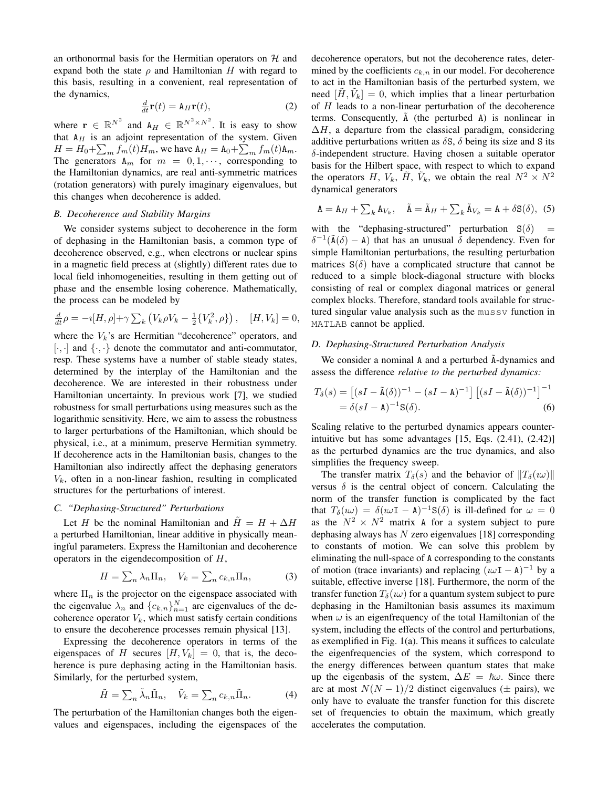an orthonormal basis for the Hermitian operators on  $H$  and expand both the state  $\rho$  and Hamiltonian H with regard to this basis, resulting in a convenient, real representation of the dynamics,

$$
\frac{d}{dt}\mathbf{r}(t) = \mathbf{A}_H\mathbf{r}(t),\tag{2}
$$

where  $\mathbf{r} \in \mathbb{R}^{N^2}$  and  $A_H \in \mathbb{R}^{N^2 \times N^2}$ . It is easy to show that  $A_H$  is an adjoint representation of the system. Given  $H = H_0 + \sum_m f_m(t) H_m$ , we have  $A_H = A_0 + \sum_m f_m(t) A_m$ . The generators  $A_m$  for  $m = 0, 1, \dots$ , corresponding to the Hamiltonian dynamics, are real anti-symmetric matrices (rotation generators) with purely imaginary eigenvalues, but this changes when decoherence is added.

## *B. Decoherence and Stability Margins*

We consider systems subject to decoherence in the form of dephasing in the Hamiltonian basis, a common type of decoherence observed, e.g., when electrons or nuclear spins in a magnetic field precess at (slightly) different rates due to local field inhomogeneities, resulting in them getting out of phase and the ensemble losing coherence. Mathematically, the process can be modeled by

$$
\frac{d}{dt}\rho = -i[H, \rho] + \gamma \sum_{k} \left( V_{k}\rho V_{k} - \frac{1}{2} \{ V_{k}^{2}, \rho \} \right), \quad [H, V_{k}] = 0,
$$

where the  $V_k$ 's are Hermitian "decoherence" operators, and  $[\cdot, \cdot]$  and  $\{\cdot, \cdot\}$  denote the commutator and anti-commutator, resp. These systems have a number of stable steady states, determined by the interplay of the Hamiltonian and the decoherence. We are interested in their robustness under Hamiltonian uncertainty. In previous work [7], we studied robustness for small perturbations using measures such as the logarithmic sensitivity. Here, we aim to assess the robustness to larger perturbations of the Hamiltonian, which should be physical, i.e., at a minimum, preserve Hermitian symmetry. If decoherence acts in the Hamiltonian basis, changes to the Hamiltonian also indirectly affect the dephasing generators  $V_k$ , often in a non-linear fashion, resulting in complicated structures for the perturbations of interest.

# *C. "Dephasing-Structured" Perturbations*

Let H be the nominal Hamiltonian and  $H = H + \Delta H$ a perturbed Hamiltonian, linear additive in physically meaningful parameters. Express the Hamiltonian and decoherence operators in the eigendecomposition of H,

$$
H = \sum_{n} \lambda_n \Pi_n, \quad V_k = \sum_{n} c_{k,n} \Pi_n,\tag{3}
$$

where  $\Pi_n$  is the projector on the eigenspace associated with the eigenvalue  $\lambda_n$  and  $\{c_{k,n}\}_{n=1}^N$  are eigenvalues of the decoherence operator  $V_k$ , which must satisfy certain conditions to ensure the decoherence processes remain physical [13].

Expressing the decoherence operators in terms of the eigenspaces of H secures  $[H, V_k] = 0$ , that is, the decoherence is pure dephasing acting in the Hamiltonian basis. Similarly, for the perturbed system,

$$
\tilde{H} = \sum_{n} \tilde{\lambda}_n \tilde{\Pi}_n, \quad \tilde{V}_k = \sum_{n} c_{k,n} \tilde{\Pi}_n.
$$
 (4)

The perturbation of the Hamiltonian changes both the eigenvalues and eigenspaces, including the eigenspaces of the decoherence operators, but not the decoherence rates, determined by the coefficients  $c_{k,n}$  in our model. For decoherence to act in the Hamiltonian basis of the perturbed system, we need  $[\tilde{H}, \tilde{V}_k] = 0$ , which implies that a linear perturbation of H leads to a non-linear perturbation of the decoherence terms. Consequently,  $\tilde{A}$  (the perturbed A) is nonlinear in  $\Delta H$ , a departure from the classical paradigm, considering additive perturbations written as  $\delta S$ ,  $\delta$  being its size and S its δ-independent structure. Having chosen a suitable operator basis for the Hilbert space, with respect to which to expand the operators H,  $V_k$ ,  $\tilde{H}$ ,  $\tilde{V}_k$ , we obtain the real  $N^2 \times N^2$ dynamical generators

$$
\mathbf{A} = \mathbf{A}_{H} + \sum_{k} \mathbf{A}_{V_{k}}, \quad \tilde{\mathbf{A}} = \tilde{\mathbf{A}}_{H} + \sum_{k} \tilde{\mathbf{A}}_{V_{k}} = \mathbf{A} + \delta \mathbf{S}(\delta), \quad (5)
$$

with the "dephasing-structured" perturbation  $S(\delta)$  =  $\delta^{-1}(\tilde{A}(\delta) - A)$  that has an unusual  $\delta$  dependency. Even for simple Hamiltonian perturbations, the resulting perturbation matrices  $S(\delta)$  have a complicated structure that cannot be reduced to a simple block-diagonal structure with blocks consisting of real or complex diagonal matrices or general complex blocks. Therefore, standard tools available for structured singular value analysis such as the mussv function in MATLAB cannot be applied.

## *D. Dephasing-Structured Perturbation Analysis*

We consider a nominal A and a perturbed  $\tilde{A}$ -dynamics and assess the difference *relative to the perturbed dynamics:*

$$
T_{\delta}(s) = \left[ (sI - \tilde{\mathbf{A}}(\delta))^{-1} - (sI - \mathbf{A})^{-1} \right] \left[ (sI - \tilde{\mathbf{A}}(\delta))^{-1} \right]^{-1}
$$
  
=  $\delta(sI - \mathbf{A})^{-1} \mathbf{S}(\delta).$  (6)

Scaling relative to the perturbed dynamics appears counterintuitive but has some advantages [15, Eqs. (2.41), (2.42)] as the perturbed dynamics are the true dynamics, and also simplifies the frequency sweep.

The transfer matrix  $T_\delta(s)$  and the behavior of  $||T_\delta(i\omega)||$ versus  $\delta$  is the central object of concern. Calculating the norm of the transfer function is complicated by the fact that  $T_\delta(i\omega) = \delta(i\omega I - A)^{-1}S(\delta)$  is ill-defined for  $\omega = 0$ as the  $N^2 \times N^2$  matrix A for a system subject to pure dephasing always has  $N$  zero eigenvalues [18] corresponding to constants of motion. We can solve this problem by eliminating the null-space of A corresponding to the constants of motion (trace invariants) and replacing  $(\omega I - A)^{-1}$  by a suitable, effective inverse [18]. Furthermore, the norm of the transfer function  $T_{\delta}(i\omega)$  for a quantum system subject to pure dephasing in the Hamiltonian basis assumes its maximum when  $\omega$  is an eigenfrequency of the total Hamiltonian of the system, including the effects of the control and perturbations, as exemplified in Fig. 1(a). This means it suffices to calculate the eigenfrequencies of the system, which correspond to the energy differences between quantum states that make up the eigenbasis of the system,  $\Delta E = \hbar \omega$ . Since there are at most  $N(N-1)/2$  distinct eigenvalues ( $\pm$  pairs), we only have to evaluate the transfer function for this discrete set of frequencies to obtain the maximum, which greatly accelerates the computation.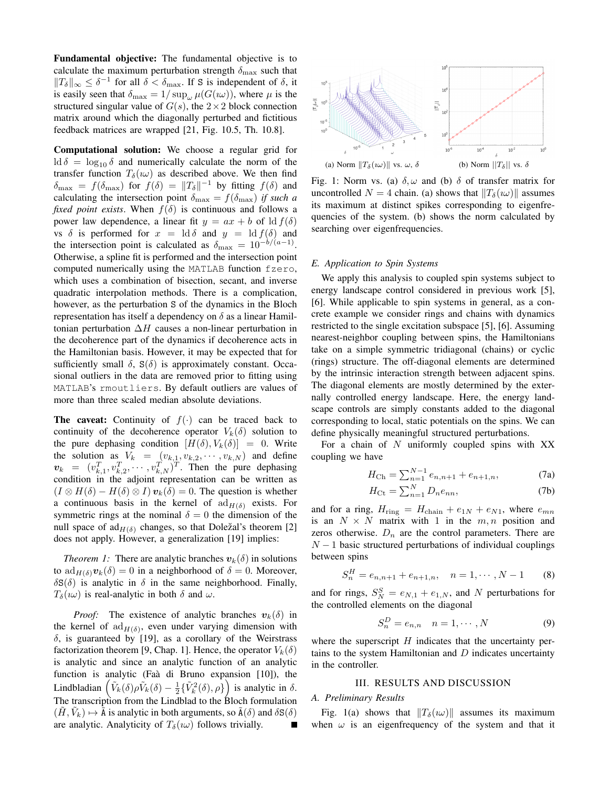Fundamental objective: The fundamental objective is to calculate the maximum perturbation strength  $\delta_{\text{max}}$  such that  $||T_{\delta}||_{\infty} \leq \delta^{-1}$  for all  $\delta < \delta_{\max}$ . If S is independent of  $\delta$ , it is easily seen that  $\delta_{\text{max}} = 1/\sup_{\omega} \mu(G(\omega))$ , where  $\mu$  is the structured singular value of  $G(s)$ , the  $2 \times 2$  block connection matrix around which the diagonally perturbed and fictitious feedback matrices are wrapped [21, Fig. 10.5, Th. 10.8].

Computational solution: We choose a regular grid for ld  $\delta = \log_{10} \delta$  and numerically calculate the norm of the transfer function  $T_\delta(w)$  as described above. We then find  $\delta_{\text{max}} = f(\delta_{\text{max}})$  for  $f(\delta) = ||T_{\delta}||^{-1}$  by fitting  $f(\delta)$  and calculating the intersection point  $\delta_{\text{max}} = f(\delta_{\text{max}})$  *if such a fixed point exists.* When  $f(\delta)$  is continuous and follows a power law dependence, a linear fit  $y = ax + b$  of ld  $f(\delta)$ vs  $\delta$  is performed for  $x = \text{Id } \delta$  and  $y = \text{Id } f(\delta)$  and the intersection point is calculated as  $\delta_{\text{max}} = 10^{-b/(a-1)}$ . Otherwise, a spline fit is performed and the intersection point computed numerically using the MATLAB function fzero, which uses a combination of bisection, secant, and inverse quadratic interpolation methods. There is a complication, however, as the perturbation S of the dynamics in the Bloch representation has itself a dependency on  $\delta$  as a linear Hamiltonian perturbation  $\Delta H$  causes a non-linear perturbation in the decoherence part of the dynamics if decoherence acts in the Hamiltonian basis. However, it may be expected that for sufficiently small  $\delta$ ,  $S(\delta)$  is approximately constant. Occasional outliers in the data are removed prior to fitting using MATLAB's rmoutliers. By default outliers are values of more than three scaled median absolute deviations.

**The caveat:** Continuity of  $f(\cdot)$  can be traced back to continuity of the decoherence operator  $V_k(\delta)$  solution to the pure dephasing condition  $[H(\delta), V_k(\delta)] = 0$ . Write the solution as  $V_k = (v_{k,1}, v_{k,2}, \dots, v_{k,N})$  and define  $v_k = (v_{k,1}^T, v_{k,2}^T, \dots, v_{k,N}^T)^T$ . Then the pure dephasing condition in the adjoint representation can be written as  $(I \otimes H(\delta) - H(\delta) \otimes I)$   $v_k(\delta) = 0$ . The question is whether a continuous basis in the kernel of  $\text{ad}_{H(\delta)}$  exists. For symmetric rings at the nominal  $\delta = 0$  the dimension of the null space of  $\text{ad}_{H(\delta)}$  changes, so that Doležal's theorem [2] does not apply. However, a generalization [19] implies:

*Theorem 1:* There are analytic branches  $v_k(\delta)$  in solutions to  $\mathrm{ad}_{H(\delta)}\mathbf{v}_k(\delta) = 0$  in a neighborhood of  $\delta = 0$ . Moreover,  $\delta S(\delta)$  is analytic in  $\delta$  in the same neighborhood. Finally,  $T_\delta(i\omega)$  is real-analytic in both  $\delta$  and  $\omega$ .

*Proof:* The existence of analytic branches  $v_k(\delta)$  in the kernel of  $\text{ad}_{H(\delta)}$ , even under varying dimension with  $\delta$ , is guaranteed by [19], as a corollary of the Weirstrass factorization theorem [9, Chap. 1]. Hence, the operator  $V_k(\delta)$ is analytic and since an analytic function of an analytic function is analytic (Faà di Bruno expansion [10]), the Lindbladian  $(\tilde{V}_k(\delta)\rho \tilde{V}_k(\delta) - \frac{1}{2}\{\tilde{V}_k^2(\delta), \rho\})$  is analytic in  $\delta$ . The transcription from the Lindblad to the Bloch formulation  $(\tilde{H}, \tilde{V}_k) \mapsto \tilde{\tilde{A}}$  is analytic in both arguments, so  $\tilde{A}(\delta)$  and  $\delta S(\delta)$ are analytic. Analyticity of  $T_\delta(w)$  follows trivially.



Fig. 1: Norm vs. (a)  $\delta, \omega$  and (b)  $\delta$  of transfer matrix for uncontrolled  $N = 4$  chain. (a) shows that  $||T_{\delta}(i\omega)||$  assumes its maximum at distinct spikes corresponding to eigenfrequencies of the system. (b) shows the norm calculated by searching over eigenfrequencies.

#### *E. Application to Spin Systems*

We apply this analysis to coupled spin systems subject to energy landscape control considered in previous work [5], [6]. While applicable to spin systems in general, as a concrete example we consider rings and chains with dynamics restricted to the single excitation subspace [5], [6]. Assuming nearest-neighbor coupling between spins, the Hamiltonians take on a simple symmetric tridiagonal (chains) or cyclic (rings) structure. The off-diagonal elements are determined by the intrinsic interaction strength between adjacent spins. The diagonal elements are mostly determined by the externally controlled energy landscape. Here, the energy landscape controls are simply constants added to the diagonal corresponding to local, static potentials on the spins. We can define physically meaningful structured perturbations.

For a chain of  $N$  uniformly coupled spins with  $XX$ coupling we have

$$
H_{\rm Ch} = \sum_{n=1}^{N-1} e_{n,n+1} + e_{n+1,n},\tag{7a}
$$

$$
H_{\rm Ct} = \sum_{n=1}^{N} D_n e_{nn},\tag{7b}
$$

and for a ring,  $H_{\text{ring}} = H_{\text{chain}} + e_{1N} + e_{N1}$ , where  $e_{mn}$ is an  $N \times N$  matrix with 1 in the  $m, n$  position and zeros otherwise.  $D_n$  are the control parameters. There are  $N-1$  basic structured perturbations of individual couplings between spins

$$
S_n^H = e_{n,n+1} + e_{n+1,n}, \quad n = 1, \cdots, N-1 \qquad (8)
$$

and for rings,  $S_N^S = e_{N,1} + e_{1,N}$ , and N perturbations for the controlled elements on the diagonal

$$
S_n^D = e_{n,n} \quad n = 1, \cdots, N \tag{9}
$$

where the superscript  $H$  indicates that the uncertainty pertains to the system Hamiltonian and  $D$  indicates uncertainty in the controller.

#### III. RESULTS AND DISCUSSION

#### *A. Preliminary Results*

Fig. 1(a) shows that  $||T_{\delta}(w)||$  assumes its maximum when  $\omega$  is an eigenfrequency of the system and that it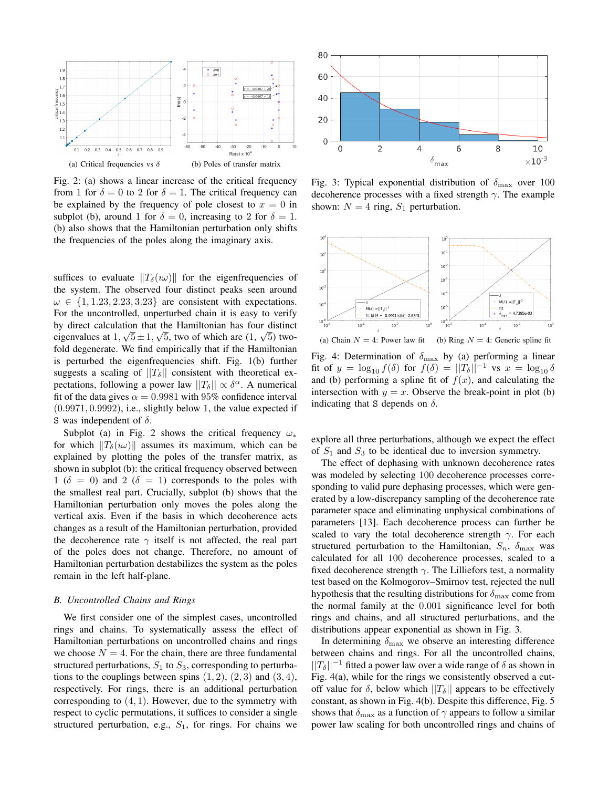

Fig. 2: (a) shows a linear increase of the critical frequency from 1 for  $\delta = 0$  to 2 for  $\delta = 1$ . The critical frequency can be explained by the frequency of pole closest to  $x = 0$  in subplot (b), around 1 for  $\delta = 0$ , increasing to 2 for  $\delta = 1$ . (b) also shows that the Hamiltonian perturbation only shifts the frequencies of the poles along the imaginary axis.

suffices to evaluate  $||T_{\delta}(w)||$  for the eigenfrequencies of the system. The observed four distinct peaks seen around  $\omega \in \{1, 1.23, 2.23, 3.23\}$  are consistent with expectations. For the uncontrolled, unperturbed chain it is easy to verify by direct calculation that the Hamiltonian has four distinct eigenvalues at  $1, \sqrt{5} \pm 1, \sqrt{5}$ , two of which are  $(1, \sqrt{5})$  twofold degenerate. We find empirically that if the Hamiltonian is perturbed the eigenfrequencies shift. Fig. 1(b) further suggests a scaling of  $||T_{\delta}||$  consistent with theoretical expectations, following a power law  $||T_\delta|| \propto \delta^\alpha$ . A numerical fit of the data gives  $\alpha = 0.9981$  with 95% confidence interval  $(0.9971, 0.9992)$ , i.e., slightly below 1, the value expected if S was independent of  $\delta$ .

Subplot (a) in Fig. 2 shows the critical frequency  $\omega_*$ for which  $||T_{\delta}(w)||$  assumes its maximum, which can be explained by plotting the poles of the transfer matrix, as shown in subplot (b): the critical frequency observed between 1 ( $\delta = 0$ ) and 2 ( $\delta = 1$ ) corresponds to the poles with the smallest real part. Crucially, subplot (b) shows that the Hamiltonian perturbation only moves the poles along the vertical axis. Even if the basis in which decoherence acts changes as a result of the Hamiltonian perturbation, provided the decoherence rate  $\gamma$  itself is not affected, the real part of the poles does not change. Therefore, no amount of Hamiltonian perturbation destabilizes the system as the poles remain in the left half-plane.

#### *B. Uncontrolled Chains and Rings*

We first consider one of the simplest cases, uncontrolled rings and chains. To systematically assess the effect of Hamiltonian perturbations on uncontrolled chains and rings we choose  $N = 4$ . For the chain, there are three fundamental structured perturbations,  $S_1$  to  $S_3$ , corresponding to perturbations to the couplings between spins  $(1, 2)$ ,  $(2, 3)$  and  $(3, 4)$ , respectively. For rings, there is an additional perturbation corresponding to  $(4, 1)$ . However, due to the symmetry with respect to cyclic permutations, it suffices to consider a single structured perturbation, e.g.,  $S_1$ , for rings. For chains we



Fig. 3: Typical exponential distribution of  $\delta_{\text{max}}$  over 100 decoherence processes with a fixed strength  $\gamma$ . The example shown:  $N = 4$  ring,  $S_1$  perturbation.



Fig. 4: Determination of  $\delta_{\text{max}}$  by (a) performing a linear fit of  $y = \log_{10} f(\delta)$  for  $f(\delta) = ||T_{\delta}||^{-1}$  vs  $x = \log_{10} \delta$ and (b) performing a spline fit of  $f(x)$ , and calculating the intersection with  $y = x$ . Observe the break-point in plot (b) indicating that S depends on  $\delta$ .

explore all three perturbations, although we expect the effect of  $S_1$  and  $S_3$  to be identical due to inversion symmetry.

The effect of dephasing with unknown decoherence rates was modeled by selecting 100 decoherence processes corresponding to valid pure dephasing processes, which were generated by a low-discrepancy sampling of the decoherence rate parameter space and eliminating unphysical combinations of parameters [13]. Each decoherence process can further be scaled to vary the total decoherence strength  $\gamma$ . For each structured perturbation to the Hamiltonian,  $S_n$ ,  $\delta_{\text{max}}$  was calculated for all 100 decoherence processes, scaled to a fixed decoherence strength  $\gamma$ . The Lilliefors test, a normality test based on the Kolmogorov–Smirnov test, rejected the null hypothesis that the resulting distributions for  $\delta_{\text{max}}$  come from the normal family at the 0.001 significance level for both rings and chains, and all structured perturbations, and the distributions appear exponential as shown in Fig. 3.

In determining  $\delta_{\text{max}}$  we observe an interesting difference between chains and rings. For all the uncontrolled chains,  $||T_\delta||^{-1}$  fitted a power law over a wide range of  $\delta$  as shown in Fig. 4(a), while for the rings we consistently observed a cutoff value for  $\delta$ , below which  $||T_{\delta}||$  appears to be effectively constant, as shown in Fig. 4(b). Despite this difference, Fig. 5 shows that  $\delta_{\text{max}}$  as a function of  $\gamma$  appears to follow a similar power law scaling for both uncontrolled rings and chains of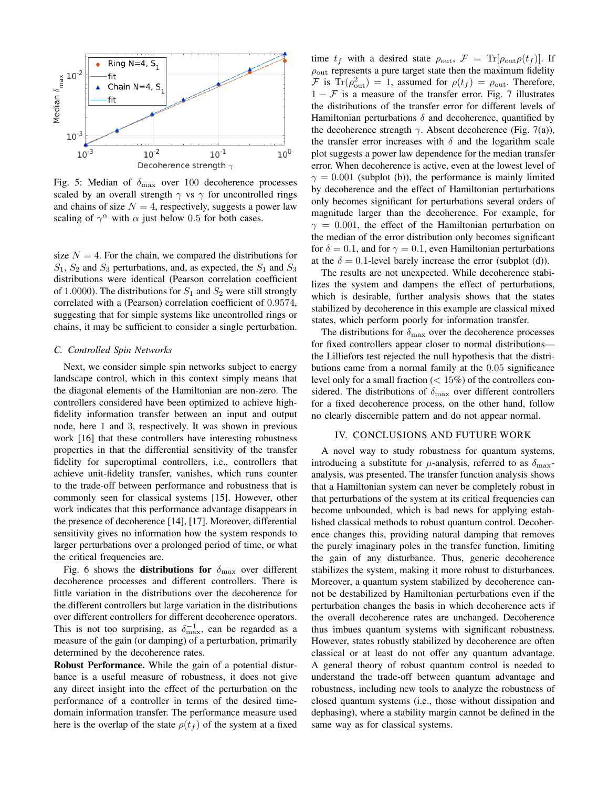

Fig. 5: Median of  $\delta_{\text{max}}$  over 100 decoherence processes scaled by an overall strength  $\gamma$  vs  $\gamma$  for uncontrolled rings and chains of size  $N = 4$ , respectively, suggests a power law scaling of  $\gamma^{\alpha}$  with  $\alpha$  just below 0.5 for both cases.

size  $N = 4$ . For the chain, we compared the distributions for  $S_1$ ,  $S_2$  and  $S_3$  perturbations, and, as expected, the  $S_1$  and  $S_3$ distributions were identical (Pearson correlation coefficient of 1.0000). The distributions for  $S_1$  and  $S_2$  were still strongly correlated with a (Pearson) correlation coefficient of 0.9574, suggesting that for simple systems like uncontrolled rings or chains, it may be sufficient to consider a single perturbation.

## *C. Controlled Spin Networks*

Next, we consider simple spin networks subject to energy landscape control, which in this context simply means that the diagonal elements of the Hamiltonian are non-zero. The controllers considered have been optimized to achieve highfidelity information transfer between an input and output node, here 1 and 3, respectively. It was shown in previous work [16] that these controllers have interesting robustness properties in that the differential sensitivity of the transfer fidelity for superoptimal controllers, i.e., controllers that achieve unit-fidelity transfer, vanishes, which runs counter to the trade-off between performance and robustness that is commonly seen for classical systems [15]. However, other work indicates that this performance advantage disappears in the presence of decoherence [14], [17]. Moreover, differential sensitivity gives no information how the system responds to larger perturbations over a prolonged period of time, or what the critical frequencies are.

Fig. 6 shows the **distributions for**  $\delta_{\text{max}}$  over different decoherence processes and different controllers. There is little variation in the distributions over the decoherence for the different controllers but large variation in the distributions over different controllers for different decoherence operators. This is not too surprising, as  $\delta_{\max}^{-1}$ , can be regarded as a measure of the gain (or damping) of a perturbation, primarily determined by the decoherence rates.

Robust Performance. While the gain of a potential disturbance is a useful measure of robustness, it does not give any direct insight into the effect of the perturbation on the performance of a controller in terms of the desired timedomain information transfer. The performance measure used here is the overlap of the state  $\rho(t_f)$  of the system at a fixed time  $t_f$  with a desired state  $\rho_{\text{out}}$ ,  $\mathcal{F} = \text{Tr}[\rho_{\text{out}} \rho(t_f)]$ . If  $\rho_{\text{out}}$  represents a pure target state then the maximum fidelity F is Tr( $\rho_{\text{out}}^2$ ) = 1, assumed for  $\rho(t_f) = \rho_{\text{out}}$ . Therefore,  $1 - \mathcal{F}$  is a measure of the transfer error. Fig. 7 illustrates the distributions of the transfer error for different levels of Hamiltonian perturbations  $\delta$  and decoherence, quantified by the decoherence strength  $\gamma$ . Absent decoherence (Fig. 7(a)), the transfer error increases with  $\delta$  and the logarithm scale plot suggests a power law dependence for the median transfer error. When decoherence is active, even at the lowest level of  $\gamma = 0.001$  (subplot (b)), the performance is mainly limited by decoherence and the effect of Hamiltonian perturbations only becomes significant for perturbations several orders of magnitude larger than the decoherence. For example, for  $\gamma = 0.001$ , the effect of the Hamiltonian perturbation on the median of the error distribution only becomes significant for  $\delta = 0.1$ , and for  $\gamma = 0.1$ , even Hamiltonian perturbations at the  $\delta = 0.1$ -level barely increase the error (subplot (d)).

The results are not unexpected. While decoherence stabilizes the system and dampens the effect of perturbations, which is desirable, further analysis shows that the states stabilized by decoherence in this example are classical mixed states, which perform poorly for information transfer.

The distributions for  $\delta_{\text{max}}$  over the decoherence processes for fixed controllers appear closer to normal distributions the Lilliefors test rejected the null hypothesis that the distributions came from a normal family at the 0.05 significance level only for a small fraction  $(< 15\%)$  of the controllers considered. The distributions of  $\delta_{\text{max}}$  over different controllers for a fixed decoherence process, on the other hand, follow no clearly discernible pattern and do not appear normal.

#### IV. CONCLUSIONS AND FUTURE WORK

A novel way to study robustness for quantum systems, introducing a substitute for  $\mu$ -analysis, referred to as  $\delta_{\text{max}}$ analysis, was presented. The transfer function analysis shows that a Hamiltonian system can never be completely robust in that perturbations of the system at its critical frequencies can become unbounded, which is bad news for applying established classical methods to robust quantum control. Decoherence changes this, providing natural damping that removes the purely imaginary poles in the transfer function, limiting the gain of any disturbance. Thus, generic decoherence stabilizes the system, making it more robust to disturbances. Moreover, a quantum system stabilized by decoherence cannot be destabilized by Hamiltonian perturbations even if the perturbation changes the basis in which decoherence acts if the overall decoherence rates are unchanged. Decoherence thus imbues quantum systems with significant robustness. However, states robustly stabilized by decoherence are often classical or at least do not offer any quantum advantage. A general theory of robust quantum control is needed to understand the trade-off between quantum advantage and robustness, including new tools to analyze the robustness of closed quantum systems (i.e., those without dissipation and dephasing), where a stability margin cannot be defined in the same way as for classical systems.